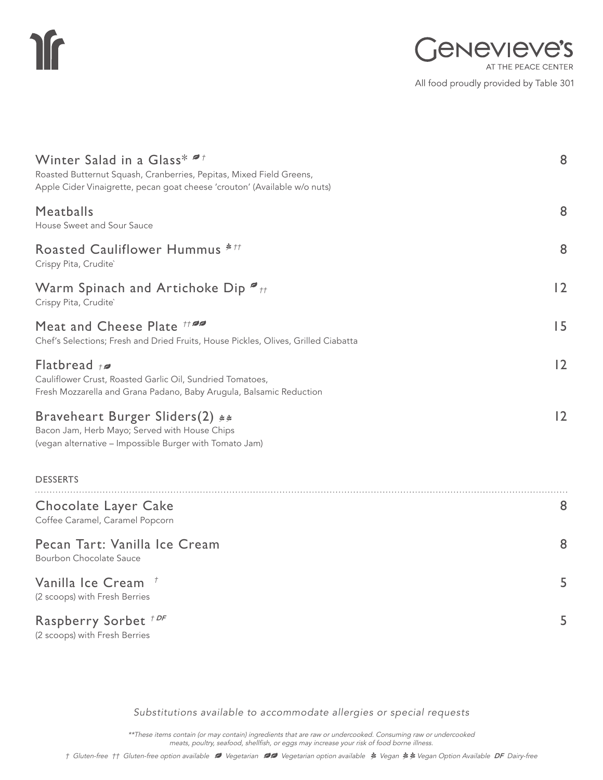# **If**

All food proudly provided by Table 301

| Winter Salad in a Glass* "<br>Roasted Butternut Squash, Cranberries, Pepitas, Mixed Field Greens,<br>Apple Cider Vinaigrette, pecan goat cheese 'crouton' (Available w/o nuts) | 8  |
|--------------------------------------------------------------------------------------------------------------------------------------------------------------------------------|----|
| Meatballs<br>House Sweet and Sour Sauce                                                                                                                                        | 8  |
| Roasted Cauliflower Hummus ***<br>Crispy Pita, Crudite`                                                                                                                        | 8  |
| Warm Spinach and Artichoke Dip $\bullet$ <sub>tt</sub><br>Crispy Pita, Crudite`                                                                                                | 2  |
| Meat and Cheese Plate #20<br>Chef's Selections; Fresh and Dried Fruits, House Pickles, Olives, Grilled Ciabatta                                                                | 15 |
| Flatbread $t$<br>Cauliflower Crust, Roasted Garlic Oil, Sundried Tomatoes,<br>Fresh Mozzarella and Grana Padano, Baby Arugula, Balsamic Reduction                              | 2  |
| Braveheart Burger Sliders(2) **<br>Bacon Jam, Herb Mayo; Served with House Chips<br>(vegan alternative - Impossible Burger with Tomato Jam)                                    | 12 |
| <b>DESSERTS</b>                                                                                                                                                                |    |
| Chocolate Layer Cake<br>Coffee Caramel, Caramel Popcorn                                                                                                                        | 8  |
| Pecan Tart: Vanilla Ice Cream<br><b>Bourbon Chocolate Sauce</b>                                                                                                                | 8  |
| Vanilla Ice Cream +<br>(2 scoops) with Fresh Berries                                                                                                                           | 5  |
| Raspberry Sorbet <sup>+DF</sup><br>(2 scoops) with Fresh Berries                                                                                                               | 5  |

*Substitutions available to accommodate allergies or special requests*

\*\*These items contain (or may contain) ingredients that are raw or undercooked. Consuming raw or undercooked meats, poultry, seafood, shellfish, or eggs may increase your risk of food borne illness.